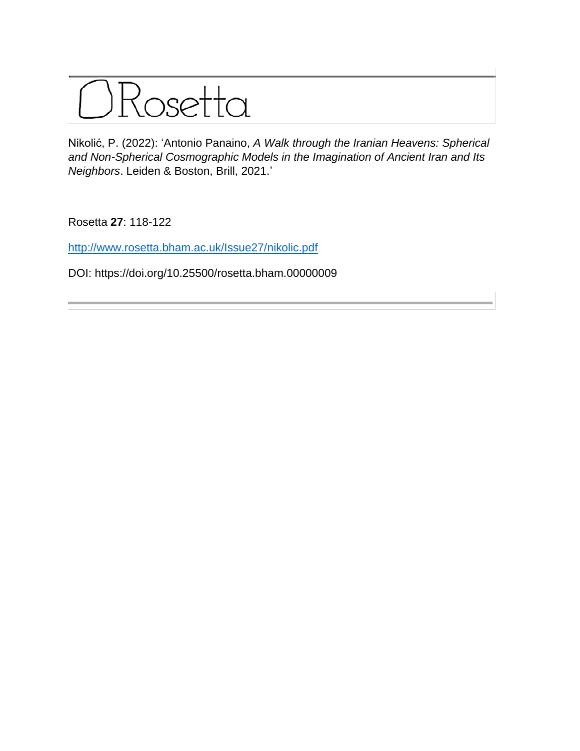

Nikolić, P. (2022): 'Antonio Panaino, *A Walk through the Iranian Heavens: Spherical and Non-Spherical Cosmographic Models in the Imagination of Ancient Iran and Its Neighbors*. Leiden & Boston, Brill, 2021.'

Rosetta **27**: 118-122

<http://www.rosetta.bham.ac.uk/Issue27/nikolic.pdf>

DOI: https://doi.org/10.25500/rosetta.bham.00000009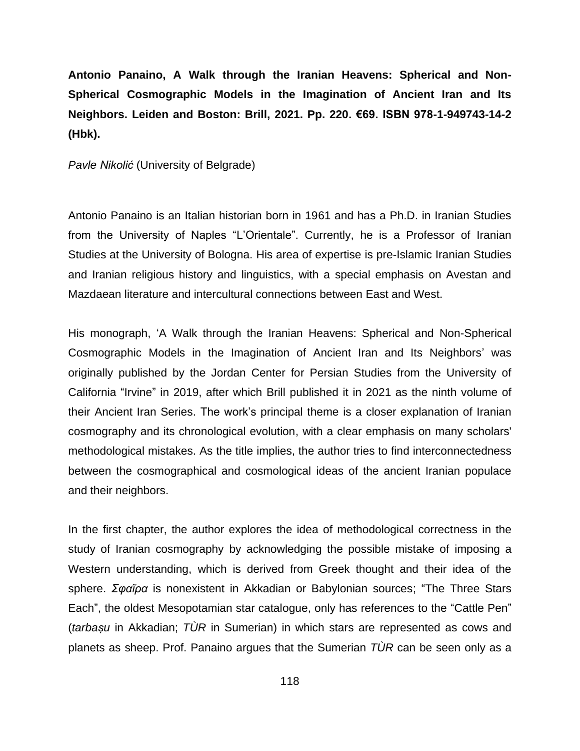**Antonio Panaino, A Walk through the Iranian Heavens: Spherical and Non-Spherical Cosmographic Models in the Imagination of Ancient Iran and Its Neighbors. Leiden and Boston: Brill, 2021. Pp. 220. €69. ISBN 978-1-949743-14-2 (Hbk).**

*Pavle Nikolić* (University of Belgrade)

Antonio Panaino is an Italian historian born in 1961 and has a Ph.D. in Iranian Studies from the University of Naples "L'Orientale". Currently, he is a Professor of Iranian Studies at the University of Bologna. His area of expertise is pre-Islamic Iranian Studies and Iranian religious history and linguistics, with a special emphasis on Avestan and Mazdaean literature and intercultural connections between East and West.

His monograph, 'A Walk through the Iranian Heavens: Spherical and Non-Spherical Cosmographic Models in the Imagination of Ancient Iran and Its Neighbors' was originally published by the Jordan Center for Persian Studies from the University of California "Irvine" in 2019, after which Brill published it in 2021 as the ninth volume of their Ancient Iran Series. The work's principal theme is a closer explanation of Iranian cosmography and its chronological evolution, with a clear emphasis on many scholars' methodological mistakes. As the title implies, the author tries to find interconnectedness between the cosmographical and cosmological ideas of the ancient Iranian populace and their neighbors.

In the first chapter, the author explores the idea of methodological correctness in the study of Iranian cosmography by acknowledging the possible mistake of imposing a Western understanding, which is derived from Greek thought and their idea of the sphere. *Σφαῖρα* is nonexistent in Akkadian or Babylonian sources; "The Three Stars Each", the oldest Mesopotamian star catalogue, only has references to the "Cattle Pen" (*tarbaṣu* in Akkadian; *TÙR* in Sumerian) in which stars are represented as cows and planets as sheep. Prof. Panaino argues that the Sumerian *TÙR* can be seen only as a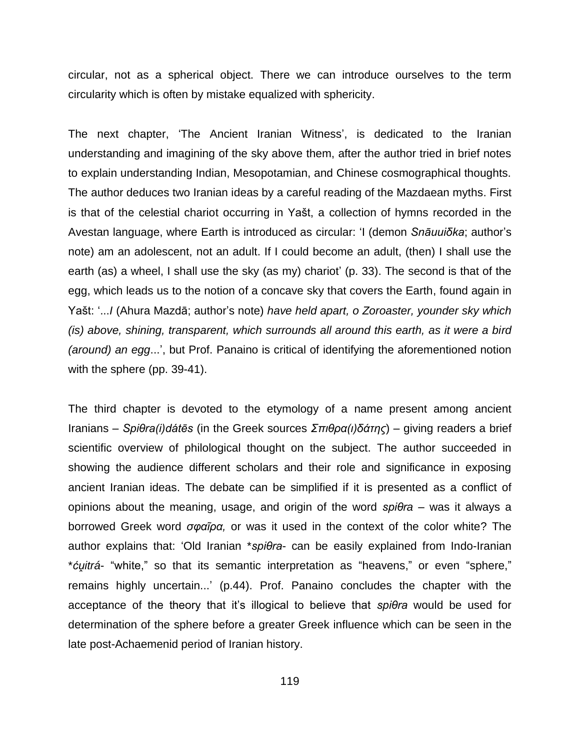circular, not as a spherical object. There we can introduce ourselves to the term circularity which is often by mistake equalized with sphericity.

The next chapter, 'The Ancient Iranian Witness', is dedicated to the Iranian understanding and imagining of the sky above them, after the author tried in brief notes to explain understanding Indian, Mesopotamian, and Chinese cosmographical thoughts. The author deduces two Iranian ideas by a careful reading of the Mazdaean myths. First is that of the celestial chariot occurring in Yašt, a collection of hymns recorded in the Avestan language, where Earth is introduced as circular: 'I (demon *Snāuuiδka*; author's note) am an adolescent, not an adult. If I could become an adult, (then) I shall use the earth (as) a wheel, I shall use the sky (as my) chariot' (p. 33). The second is that of the egg, which leads us to the notion of a concave sky that covers the Earth, found again in Yašt: '...*I* (Ahura Mazdā; author's note) *have held apart, o Zoroaster, younder sky which (is) above, shining, transparent, which surrounds all around this earth, as it were a bird (around) an egg*...', but Prof. Panaino is critical of identifying the aforementioned notion with the sphere (pp. 39-41).

The third chapter is devoted to the etymology of a name present among ancient Iranians – *Spiθra(i)dátēs* (in the Greek sources *Σπιθρα(ι)δάτης*) – giving readers a brief scientific overview of philological thought on the subject. The author succeeded in showing the audience different scholars and their role and significance in exposing ancient Iranian ideas. The debate can be simplified if it is presented as a conflict of opinions about the meaning, usage, and origin of the word *spiθra* – was it always a borrowed Greek word *σφαῖρα,* or was it used in the context of the color white? The author explains that: 'Old Iranian \**spiθra*- can be easily explained from Indo-Iranian \**ćṷitrá*- "white," so that its semantic interpretation as "heavens," or even "sphere," remains highly uncertain...' (p.44). Prof. Panaino concludes the chapter with the acceptance of the theory that it's illogical to believe that *spiθra* would be used for determination of the sphere before a greater Greek influence which can be seen in the late post-Achaemenid period of Iranian history.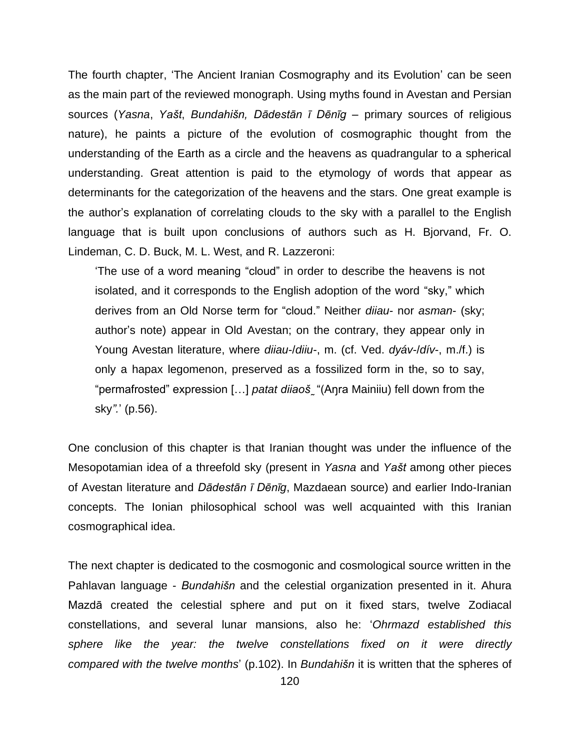The fourth chapter, 'The Ancient Iranian Cosmography and its Evolution' can be seen as the main part of the reviewed monograph. Using myths found in Avestan and Persian sources (*Yasna*, *Yašt*, *Bundahišn, Dādestān ī Dēnīg –* primary sources of religious nature), he paints a picture of the evolution of cosmographic thought from the understanding of the Earth as a circle and the heavens as quadrangular to a spherical understanding. Great attention is paid to the etymology of words that appear as determinants for the categorization of the heavens and the stars. One great example is the author's explanation of correlating clouds to the sky with a parallel to the English language that is built upon conclusions of authors such as H. Bjorvand, Fr. O. Lindeman, C. D. Buck, M. L. West, and R. Lazzeroni:

'The use of a word meaning "cloud" in order to describe the heavens is not isolated, and it corresponds to the English adoption of the word "sky," which derives from an Old Norse term for "cloud." Neither *diiau*- nor *asman*- (sky; author's note) appear in Old Avestan; on the contrary, they appear only in Young Avestan literature, where *diiau*-/*diiu*-, m. (cf. Ved. *dyáv*-/*dív*-, m./f.) is only a hapax legomenon, preserved as a fossilized form in the, so to say, "permafrosted" expression […] *patat diiaoš ̰*"(Aŋra Mainiiu) fell down from the sky*".*' (p.56).

One conclusion of this chapter is that Iranian thought was under the influence of the Mesopotamian idea of a threefold sky (present in *Yasna* and *Yašt* among other pieces of Avestan literature and *Dādestān ī Dēnīg*, Mazdaean source) and earlier Indo-Iranian concepts. The Ionian philosophical school was well acquainted with this Iranian cosmographical idea.

The next chapter is dedicated to the cosmogonic and cosmological source written in the Pahlavan language - *Bundahišn* and the celestial organization presented in it. Ahura Mazdā created the celestial sphere and put on it fixed stars, twelve Zodiacal constellations, and several lunar mansions, also he: '*Ohrmazd established this sphere like the year: the twelve constellations fixed on it were directly compared with the twelve months*' (p.102). In *Bundahišn* it is written that the spheres of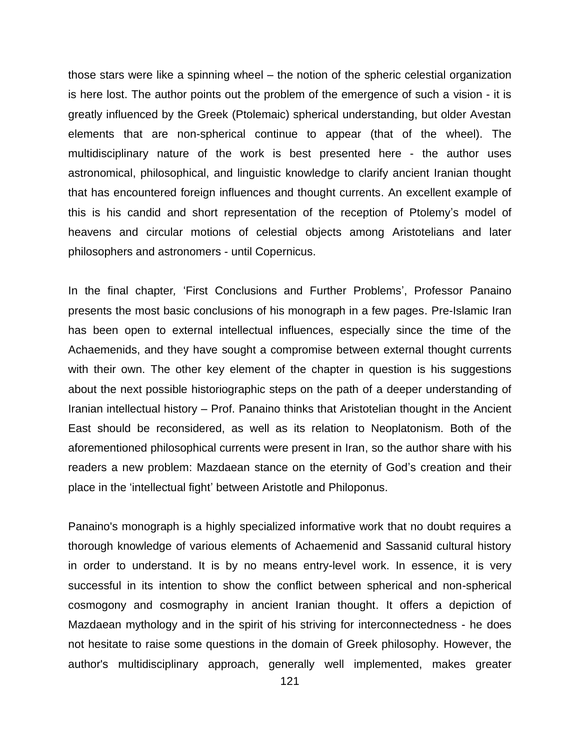those stars were like a spinning wheel – the notion of the spheric celestial organization is here lost. The author points out the problem of the emergence of such a vision - it is greatly influenced by the Greek (Ptolemaic) spherical understanding, but older Avestan elements that are non-spherical continue to appear (that of the wheel). The multidisciplinary nature of the work is best presented here - the author uses astronomical, philosophical, and linguistic knowledge to clarify ancient Iranian thought that has encountered foreign influences and thought currents. An excellent example of this is his candid and short representation of the reception of Ptolemy's model of heavens and circular motions of celestial objects among Aristotelians and later philosophers and astronomers - until Copernicus.

In the final chapter*,* 'First Conclusions and Further Problems', Professor Panaino presents the most basic conclusions of his monograph in a few pages. Pre-Islamic Iran has been open to external intellectual influences, especially since the time of the Achaemenids, and they have sought a compromise between external thought currents with their own. The other key element of the chapter in question is his suggestions about the next possible historiographic steps on the path of a deeper understanding of Iranian intellectual history – Prof. Panaino thinks that Aristotelian thought in the Ancient East should be reconsidered, as well as its relation to Neoplatonism. Both of the aforementioned philosophical currents were present in Iran, so the author share with his readers a new problem: Mazdaean stance on the eternity of God's creation and their place in the 'intellectual fight' between Aristotle and Philoponus.

Panaino's monograph is a highly specialized informative work that no doubt requires a thorough knowledge of various elements of Achaemenid and Sassanid cultural history in order to understand. It is by no means entry-level work. In essence, it is very successful in its intention to show the conflict between spherical and non-spherical cosmogony and cosmography in ancient Iranian thought. It offers a depiction of Mazdaean mythology and in the spirit of his striving for interconnectedness - he does not hesitate to raise some questions in the domain of Greek philosophy. However, the author's multidisciplinary approach, generally well implemented, makes greater